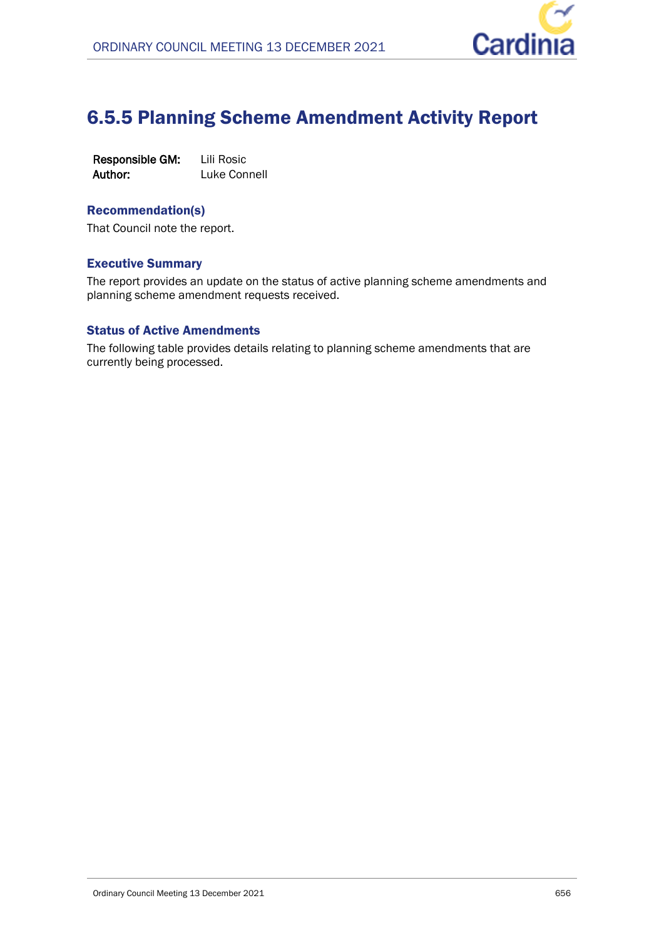

## 6.5.5 Planning Scheme Amendment Activity Report

| Responsible GM: | Lili Rosic   |
|-----------------|--------------|
| Author:         | Luke Connell |

## Recommendation(s)

That Council note the report.

## Executive Summary

The report provides an update on the status of active planning scheme amendments and planning scheme amendment requests received.

## Status of Active Amendments

The following table provides details relating to planning scheme amendments that are currently being processed.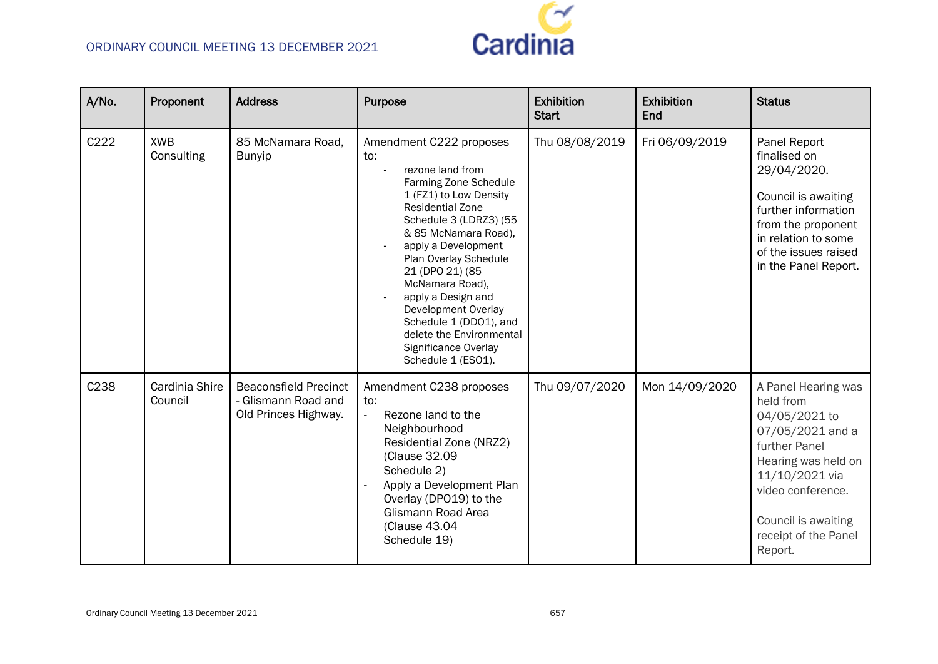

| A/No. | Proponent                 | <b>Address</b>                                                              | <b>Purpose</b>                                                                                                                                                                                                                                                                                                                                                                                                            | Exhibition<br><b>Start</b> | Exhibition<br>End | <b>Status</b>                                                                                                                                                                                                  |
|-------|---------------------------|-----------------------------------------------------------------------------|---------------------------------------------------------------------------------------------------------------------------------------------------------------------------------------------------------------------------------------------------------------------------------------------------------------------------------------------------------------------------------------------------------------------------|----------------------------|-------------------|----------------------------------------------------------------------------------------------------------------------------------------------------------------------------------------------------------------|
| C222  | <b>XWB</b><br>Consulting  | 85 McNamara Road.<br><b>Bunyip</b>                                          | Amendment C222 proposes<br>to:<br>rezone land from<br>Farming Zone Schedule<br>1 (FZ1) to Low Density<br><b>Residential Zone</b><br>Schedule 3 (LDRZ3) (55<br>& 85 McNamara Road),<br>apply a Development<br>Plan Overlay Schedule<br>21 (DPO 21) (85<br>McNamara Road),<br>apply a Design and<br>Development Overlay<br>Schedule 1 (DD01), and<br>delete the Environmental<br>Significance Overlay<br>Schedule 1 (ESO1). | Thu 08/08/2019             | Fri 06/09/2019    | Panel Report<br>finalised on<br>29/04/2020.<br>Council is awaiting<br>further information<br>from the proponent<br>in relation to some<br>of the issues raised<br>in the Panel Report.                         |
| C238  | Cardinia Shire<br>Council | <b>Beaconsfield Precinct</b><br>- Glismann Road and<br>Old Princes Highway. | Amendment C238 proposes<br>to:<br>$\mathcal{L}^{\pm}$<br>Rezone land to the<br>Neighbourhood<br>Residential Zone (NRZ2)<br>(Clause 32.09<br>Schedule 2)<br>Apply a Development Plan<br>Overlay (DPO19) to the<br>Glismann Road Area<br>(Clause 43.04<br>Schedule 19)                                                                                                                                                      | Thu 09/07/2020             | Mon 14/09/2020    | A Panel Hearing was<br>held from<br>04/05/2021 to<br>07/05/2021 and a<br>further Panel<br>Hearing was held on<br>11/10/2021 via<br>video conference.<br>Council is awaiting<br>receipt of the Panel<br>Report. |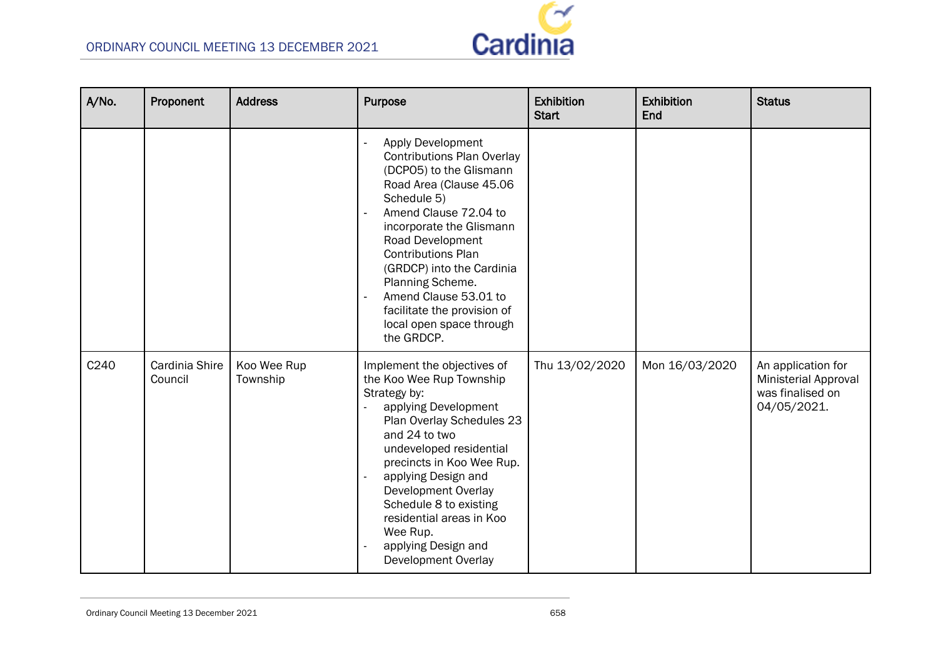

| A/No.            | Proponent                 | <b>Address</b>          | <b>Purpose</b>                                                                                                                                                                                                                                                                                                                                                                              | <b>Exhibition</b><br><b>Start</b> | <b>Exhibition</b><br>End | <b>Status</b>                                                                        |
|------------------|---------------------------|-------------------------|---------------------------------------------------------------------------------------------------------------------------------------------------------------------------------------------------------------------------------------------------------------------------------------------------------------------------------------------------------------------------------------------|-----------------------------------|--------------------------|--------------------------------------------------------------------------------------|
|                  |                           |                         | <b>Apply Development</b><br><b>Contributions Plan Overlay</b><br>(DCPO5) to the Glismann<br>Road Area (Clause 45.06<br>Schedule 5)<br>Amend Clause 72.04 to<br>incorporate the Glismann<br>Road Development<br><b>Contributions Plan</b><br>(GRDCP) into the Cardinia<br>Planning Scheme.<br>Amend Clause 53.01 to<br>facilitate the provision of<br>local open space through<br>the GRDCP. |                                   |                          |                                                                                      |
| C <sub>240</sub> | Cardinia Shire<br>Council | Koo Wee Rup<br>Township | Implement the objectives of<br>the Koo Wee Rup Township<br>Strategy by:<br>applying Development<br>Plan Overlay Schedules 23<br>and 24 to two<br>undeveloped residential<br>precincts in Koo Wee Rup.<br>applying Design and<br>Development Overlay<br>Schedule 8 to existing<br>residential areas in Koo<br>Wee Rup.<br>applying Design and<br>Development Overlay                         | Thu 13/02/2020                    | Mon 16/03/2020           | An application for<br><b>Ministerial Approval</b><br>was finalised on<br>04/05/2021. |